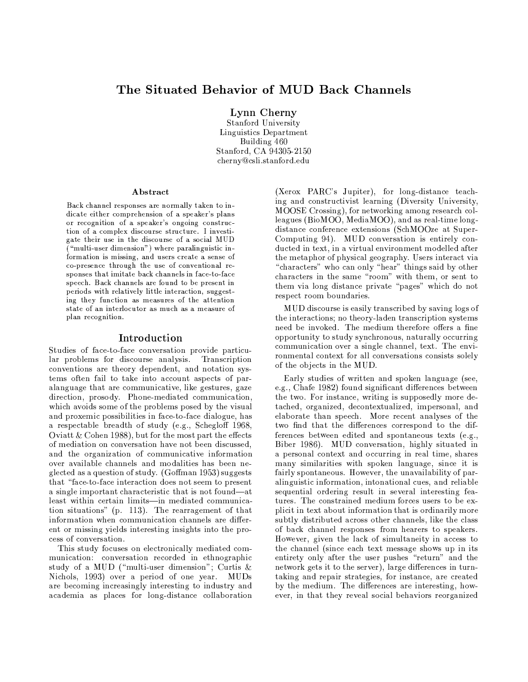# The Situated Behavior of MUD Back Channels

Lynn Cherny

Stanford University Linguistics Department Building 460 Stanford, CA 94305-2150 cherny@csli.stanford.edu

#### Abstract

Back channel responses are normally taken to indicate either comprehension of a speaker's plans or recognition of a speaker's ongoing construction of a complex discourse structure. I investigate their use in the discourse of a social MUD  $\bar{a}$  "multi-user dimension") where paralinguistic information is missing, and users create a sense of co-presence through the use of conventional responses that imitate back channels in face-to-face speech. Back channels are found to be present in periods with relatively little interaction, suggesting they function as measures of the attention state of an interlocutor as much as a measure of plan recognition.

#### Introduction

Studies of face-to-face conversation provide particular problems for discourse analysis. Transcription conventions are theory dependent, and notation systems often fail to take into account aspects of paralanguage that are communicative, like gestures, gaze direction, prosody. Phone-mediated communication, which avoids some of the problems posed by the visual and proxemic possibilities in face-to-face dialogue, has a respectable breadth of study (e.g., Schegloff 1968, Oviatt & Cohen 1988), but for the most part the effects of mediation on conversation have not been discussed, and the organization of communicative information over available channels and modalities has been neglected as a question of study. (Goffman 1953) suggests that "face-to-face interaction does not seem to present a single important characteristic that is not found—at least within certain limits-in mediated communication situations" (p. 113). The rearragement of that information when communication channels are different or missing yields interesting insights into the process of conversation.

This study focuses on electronically mediated communication: conversation recorded in ethnographic study of a MUD ("multi-user dimension"; Curtis & Nichols, 1993) over a period of one year. MUDs are becoming increasingly interesting to industry and academia as places for long-distance collaboration

(Xerox PARC's Jupiter), for long-distance teaching and constructivist learning (Diversity University, MOOSE Crossing), for networking among research colleagues (BioMOO, MediaMOO), and as real-time longdistance conference extensions (SchMOOze at Super-Computing 94). MUD conversation is entirely conducted in text, in a virtual environment modelled after the metaphor of physical geography. Users interact via "characters" who can only "hear" things said by other characters in the same "room" with them, or sent to them via long distance private "pages" which do not respect room boundaries.

MUD discourse is easily transcribed by saving logs of the interactions; no theory-laden transcription systems need be invoked. The medium therefore offers a fine opportunity to study synchronous, naturally occurring communication over a single channel, text. The environmental context for all conversations consists solely of the objects in the MUD.

Early studies of written and spoken language (see, e.g., Chafe 1982) found significant differences between the two. For instance, writing is supposedly more detached, organized, decontextualized, impersonal, and elaborate than speech. More recent analyses of the two find that the differences correspond to the differences between edited and spontaneous texts (e.g., Biber 1986). MUD conversation, highly situated in a personal context and occurring in real time, shares many similarities with spoken language, since it is fairly spontaneous. However, the unavailability of paralinguistic information, intonational cues, and reliable sequential ordering result in several interesting features. The constrained medium forces users to be explicit in text about information that is ordinarily more subtly distributed across other channels, like the class of back channel responses from hearers to speakers. However, given the lack of simultaneity in access to the channel (since each text message shows up in its entirety only after the user pushes "return" and the network gets it to the server), large differences in turntaking and repair strategies, for instance, are created by the medium. The differences are interesting, however, in that they reveal social behaviors reorganized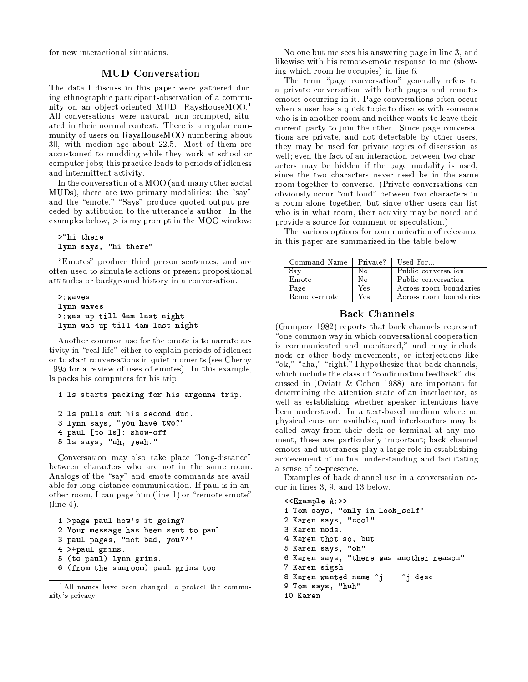for new interactional situations.

### **MUD** Conversation

The data I discuss in this paper were gathered during ethnographic participant-observation of a community on an object-oriented MUD, RaysHouseMOO.<sup>1</sup> All conversations were natural, non-prompted, situated in their normal context. There is a regular community of users on RaysHouseMOO numbering about 30, with median age about 22.5. Most of them are accustomed to mudding while they work at school or computer jobs; this practice leads to periods of idleness and intermittent activity.

In the conversation of a MOO (and many other social MUDs), there are two primary modalities: the "say" and the "emote." "Says" produce quoted output preceded by attibution to the utterance's author. In the examples below,  $>$  is my prompt in the MOO window:

```
>"hi there
lynn says, "hi there"
```
"Emotes" produce third person sentences, and are often used to simulate actions or present propositional attitudes or background history in a conversation.

```
>: waves
lynn waves
>:was up till 4am last night
lynn was up till 4am last night
```
Another common use for the emote is to narrate activity in "real life" either to explain periods of idleness or to start conversations in quiet moments (see Cherny 1995 for a review of uses of emotes). In this example, ls packs his computers for his trip.

```
1 ls starts packing for his argonne trip.
 \sim 1002 ls pulls out his second duo.
3 lynn says, "you have two?"
4 paul [to 1s]: show-off
5 1s says, "uh, yeah."
```
Conversation may also take place "long-distance" between characters who are not in the same room. Analogs of the "say" and emote commands are available for long-distance communication. If paul is in another room, I can page him (line 1) or "remote-emote"  $(line 4)$ .

```
1 >page paul how's it going?
2 Your message has been sent to paul.
3 paul pages, "not bad, you?"'
4 >+paul grins.
5 (to paul) lynn grins.
6 (from the sunroom) paul grins too.
```
No one but me sees his answering page in line 3, and likewise with his remote-emote response to me (showing which room he occupies) in line 6.

The term "page conversation" generally refers to a private conversation with both pages and remoteemotes occurring in it. Page conversations often occur when a user has a quick topic to discuss with someone who is in another room and neither wants to leave their current party to join the other. Since page conversations are private, and not detectable by other users, they may be used for private topics of discussion as well; even the fact of an interaction between two characters may be hidden if the page modality is used, since the two characters never need be in the same room together to converse. (Private conversations can obviously occur "out loud" between two characters in a room alone together, but since other users can list who is in what room, their activity may be noted and provide a source for comment or speculation.)

The various options for communication of relevance in this paper are summarized in the table below.

| Command Name   Private?   Used For |     |                        |
|------------------------------------|-----|------------------------|
| Say                                | Nο  | Public conversation    |
| Emote                              | N٥  | Public conversation    |
| Page                               | Yes | Across room boundaries |
| Remote-emote                       | Yes | Across room boundaries |

# **Back Channels**

(Gumperz 1982) reports that back channels represent one common way in which conversational cooperation<sup>a</sup> is communicated and monitored," and may include nods or other body movements, or interjections like "ok," "aha," "right." I hypothesize that back channels, which include the class of "confirmation feedback" discussed in (Oviatt & Cohen 1988), are important for determining the attention state of an interlocutor, as well as establishing whether speaker intentions have been understood. In a text-based medium where no physical cues are available, and interlocutors may be called away from their desk or terminal at any moment, these are particularly important; back channel emotes and utterances play a large role in establishing achievement of mutual understanding and facilitating a sense of co-presence.

Examples of back channel use in a conversation occur in lines 3, 9, and 13 below.

```
<<Example A:>>
1 Tom says, "only in look_self"
2 Karen says, "cool"
3 Karen nods.
4 Karen thot so, but
5 Karen says, "oh"
6 Karen says, "there was another reason"
7 Karen sigsh
8 Karen wanted name "j----"j desc
9 Tom says, "huh"
10 Karen
```
<sup>&</sup>lt;sup>1</sup>All names have been changed to protect the community's privacy.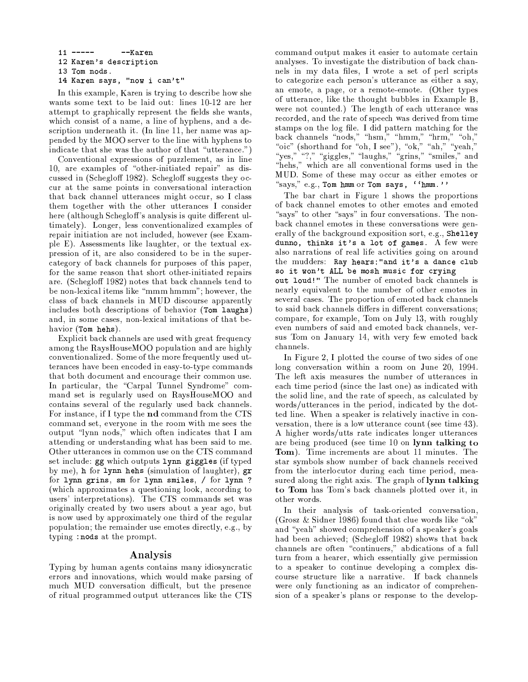$11$  -------Karen 12 Karen's description 13 Tom nods. 14 Karen says, "now i can't"

In this example. Karen is trying to describe how she wants some text to be laid out: lines 10-12 are her attempt to graphically represent the fields she wants, which consist of a name, a line of hyphens, and a description underneath it. (In line 11, her name was appended by the MOO server to the line with hyphens to indicate that she was the author of that "utterance.")

Conventional expressions of puzzlement, as in line 10, are examples of "other-initiated repair" as discussed in (Schegloff 1982). Schegloff suggests they occur at the same points in conversational interaction that back channel utterances might occur, so I class them together with the other utterances I consider here (although Schegloff's analysis is quite different ultimately). Longer, less conventionalized examples of repair initiation are not included, however (see Example E). Assessments like laughter, or the textual expression of it, are also considered to be in the supercategory of back channels for purposes of this paper, for the same reason that short other-initiated repairs are. (Schegloff 1982) notes that back channels tend to be non-lexical items like "mmm hmmm"; however, the class of back channels in MUD discourse apparently includes both descriptions of behavior (Tom laughs) and, in some cases, non-lexical imitations of that behavior (Tom hehs).

Explicit back channels are used with great frequency among the RaysHouseMOO population and are highly conventionalized. Some of the more frequently used utterances have been encoded in easy-to-type commands that both document and encourage their common use. In particular, the "Carpal Tunnel Syndrome" command set is regularly used on RaysHouseMOO and contains several of the regularly used back channels. For instance, if I type the **nd** command from the CTS command set, everyone in the room with me sees the output "lynn nods," which often indicates that I am attending or understanding what has been said to me. Other utterances in common use on the CTS command set include: gg which outputs lynn giggles (if typed by me), h for lynn hehs (simulation of laughter), gr for lynn grins, sm for lynn smiles, / for lynn ? (which approximates a questioning look, according to users' interpretations). The CTS commands set was originally created by two users about a year ago, but is now used by approximately one third of the regular population; the remainder use emotes directly, e.g., by typing : nods at the prompt.

### Analysis

Typing by human agents contains many idiosyncratic errors and innovations, which would make parsing of much MUD conversation difficult, but the presence of ritual programmed output utterances like the CTS

command output makes it easier to automate certain analyses. To investigate the distribution of back channels in my data files, I wrote a set of perl scripts to categorize each person's utterance as either a say, an emote, a page, or a remote-emote. (Other types of utterance, like the thought bubbles in Example B, were not counted.) The length of each utterance was recorded, and the rate of speech was derived from time stamps on the log file. I did pattern matching for the back channels "nods," "hsm," "hmm," "hrm," "oh," "oic" (shorthand for "oh, I see"), "ok," "ah," "yeah," "yes," "?," "giggles," "laughs," "grins," "smiles," and "hehs," which are all conventional forms used in the MUD. Some of these may occur as either emotes or "says," e.g., Tom hmm or Tom says, ''hmm.''

The bar chart in Figure 1 shows the proportions of back channel emotes to other emotes and emoted "says" to other "says" in four conversations. The nonback channel emotes in these conversations were generally of the background exposition sort, e.g., Shelley dunno, thinks it's a lot of games. A few were also narrations of real life activities going on around the mudders: Ray hears: "and it's a dance club so it won't ALL be mosh music for crying out loud!" The number of emoted back channels is nearly equivalent to the number of other emotes in several cases. The proportion of emoted back channels to said back channels differs in different conversations; compare, for example, Tom on July 13, with roughly even numbers of said and emoted back channels, versus Tom on January 14, with very few emoted back channels.

In Figure 2, I plotted the course of two sides of one long conversation within a room on June 20, 1994. The left axis measures the number of utterances in each time period (since the last one) as indicated with the solid line, and the rate of speech, as calculated by words/utterances in the period, indicated by the dotted line. When a speaker is relatively inactive in conversation, there is a low utterance count (see time  $43$ ). A higher words/utts rate indicates longer utterances are being produced (see time 10 on lynn talking to **Tom**). Time increments are about 11 minutes. The star symbols show number of back channels received from the interlocutor during each time period, measured along the right axis. The graph of lynn talking to Tom has Tom's back channels plotted over it, in other words.

In their analysis of task-oriented conversation, (Grosz & Sidner 1986) found that clue words like "ok" and "yeah" showed comprehension of a speaker's goals had been achieved; (Schegloff 1982) shows that back channels are often "continuers," abdications of a full turn from a hearer, which essentially give permission to a speaker to continue developing a complex discourse structure like a narrative. If back channels were only functioning as an indicator of comprehension of a speaker's plans or response to the develop-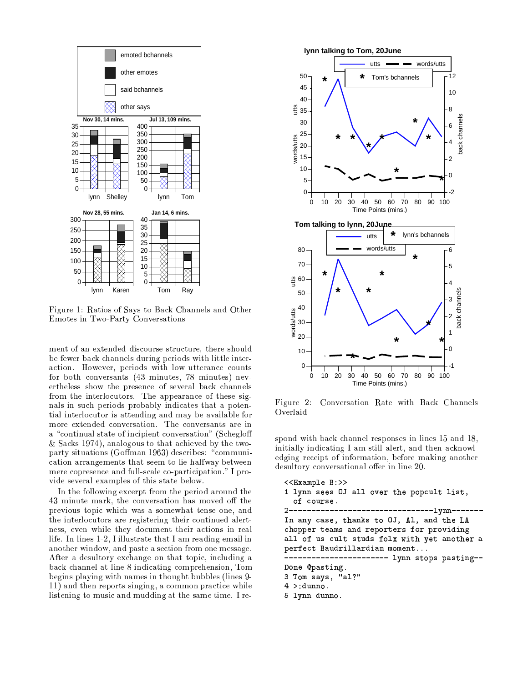

Figure 1: Ratios of Says to Back Channels and Other Emotes in Two-Party Conversations

ment of an extended discourse structure, there should be fewer back channels during periods with little interaction. However, periods with low utterance counts for both conversants (43 minutes, 78 minutes) nevertheless show the presence of several back channels from the interlocutors. The appearance of these signals in such periods probably indicates that a potential interlocutor is attending and may be available for more extended conversation. The conversants are in a "continual state of incipient conversation" (Schegloff & Sacks 1974), analogous to that achieved by the twoparty situations (Goffman 1963) describes: "communication arrangements that seem to lie halfway between mere copresence and full-scale co-participation." I provide several examples of this state below.

In the following excerpt from the period around the 43 minute mark, the conversation has moved off the previous topic which was a somewhat tense one, and the interlocutors are registering their continued alertness, even while they document their actions in real life. In lines 1-2, I illustrate that I am reading email in another window, and paste a section from one message. After a desultory exchange on that topic, including a back channel at line 8 indicating comprehension, Tom begins playing with names in thought bubbles (lines 9-11) and then reports singing, a common practice while listening to music and mudding at the same time. I re-



Figure 2: Conversation Rate with Back Channels Overlaid

spond with back channel responses in lines 15 and 18. initially indicating I am still alert, and then acknowledging receipt of information, before making another desultory conversational offer in line 20.

```
<<Example B:>>
1 lynn sees OJ all over the popcult list,
  of course.
                  -----------------1ynn-------
2 - - - - - - -In any case, thanks to OJ, Al, and the LA
chopper teams and reporters for providing
all of us cult studs folx with yet another a
perfect Baudrillardian moment...
             ----------- lynn stops pasting--
Done @pasting.
3 Tom says, "al?"
4 >: dunno.
5 lynn dunno.
```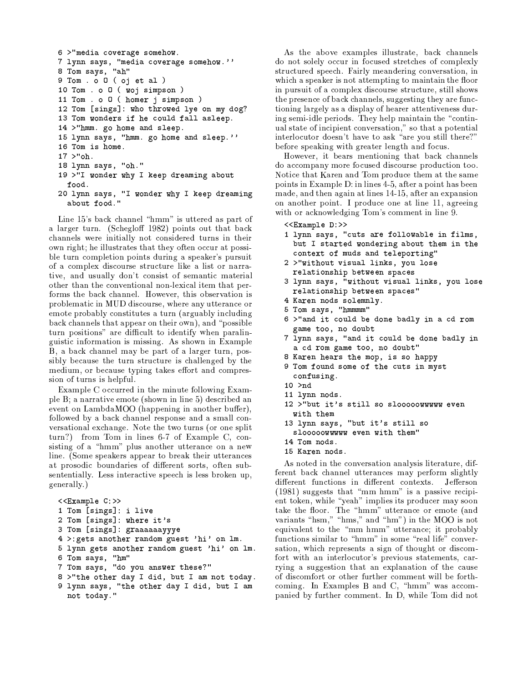```
6 >"media coverage somehow.
7 lynn says, "media coverage somehow."
8 Tom says, "ah"
9 Tom . o 0 ( oj et al )
10 Tom . o 0 ( woj simpson )
11 Tom . o O ( homer j simpson )
12 Tom [sings]: who throwed lye on my dog?
13 Tom wonders if he could fall asleep.
14 >"hmm. go home and sleep.
15 lynn says, "hmm. go home and sleep."'
16 Tom is home.
17 >"oh.
18 lynn says, "oh."
19 >"I wonder why I keep dreaming about
  food.
20 lynn says, "I wonder why I keep dreaming
  about food."
```
Line 15's back channel "hmm" is uttered as part of a larger turn. (Schegloff 1982) points out that back channels were initially not considered turns in their own right; he illustrates that they often occur at possible turn completion points during a speaker's pursuit of a complex discourse structure like a list or narrative, and usually don't consist of semantic material other than the conventional non-lexical item that performs the back channel. However, this observation is problematic in MUD discourse, where any utterance or emote probably constitutes a turn (arguably including back channels that appear on their own), and "possible turn positions" are difficult to identify when paralinguistic information is missing. As shown in Example B, a back channel may be part of a larger turn, possibly because the turn structure is challenged by the medium, or because typing takes effort and compression of turns is helpful.

Example C occurred in the minute following Example B; a narrative emote (shown in line 5) described an event on LambdaMOO (happening in another buffer). followed by a back channel response and a small conversational exchange. Note the two turns (or one split turn?) from Tom in lines 6-7 of Example C, consisting of a "hmm" plus another utterance on a new line. (Some speakers appear to break their utterances at prosodic boundaries of different sorts, often subsententially. Less interactive speech is less broken up, generally.)

```
<<Example C:>>
1 Tom [sings]: i live
2 Tom [sings]: where it's
3 Tom [sings]: graaaaaayyye
4 >:gets another random guest 'hi' on lm.
5 lynn gets another random guest 'hi' on lm.
6 Tom says, "hm"
7 Tom says, "do you answer these?"
8 >"the other day I did, but I am not today.
9 lynn says, "the other day I did, but I am
 not today."
```
As the above examples illustrate, back channels do not solely occur in focused stretches of complexly structured speech. Fairly meandering conversation, in which a speaker is not attempting to maintain the floor in pursuit of a complex discourse structure, still shows the presence of back channels, suggesting they are functioning largely as a display of hearer attentiveness during semi-idle periods. They help maintain the "continual state of incipient conversation," so that a potential interlocutor doesn't have to ask "are you still there?" before speaking with greater length and focus.

However, it bears mentioning that back channels do accompany more focused discourse production too. Notice that Karen and Tom produce them at the same points in Example D: in lines 4-5, after a point has been made, and then again at lines 14-15, after an expansion on another point. I produce one at line 11, agreeing with or acknowledging Tom's comment in line 9.

```
<<Example D:>>
```
- 1 lynn says, "cuts are followable in films, but I started wondering about them in the context of muds and teleporting"
- 2 >"without visual links, you lose relationship between spaces
- 3 lynn says, "without visual links, you lose relationship between spaces"
- 4 Karen nods solemnly.
- 5 Tom says, "hmmmm"
- 6 >"and it could be done badly in a cd rom game too, no doubt
- 7 lynn says, "and it could be done badly in a cd rom game too, no doubt"
- 8 Karen hears the mop, is so happy
- 9 Tom found some of the cuts in myst confusing.
- $10$  >nd
- 11 lynn nods.
- 12 >"but it's still so slooooowwww even with them
- 13 lynn says, "but it's still so
	- slooooowwwww even with them"
- 14 Tom nods.
- 15 Karen nods.

As noted in the conversation analysis literature, different back channel utterances may perform slightly different functions in different contexts. Jefferson (1981) suggests that "mm hmm" is a passive recipient token, while "yeah" implies its producer may soon take the floor. The "hmm" utterance or emote (and variants "hsm," "hms," and "hm") in the MOO is not equivalent to the "mm hmm" utterance; it probably functions similar to "hmm" in some "real life" conversation, which represents a sign of thought or discomfort with an interlocutor's previous statements, carrying a suggestion that an explanation of the cause of discomfort or other further comment will be forthcoming. In Examples B and C, "hmm" was accompanied by further comment. In D, while Tom did not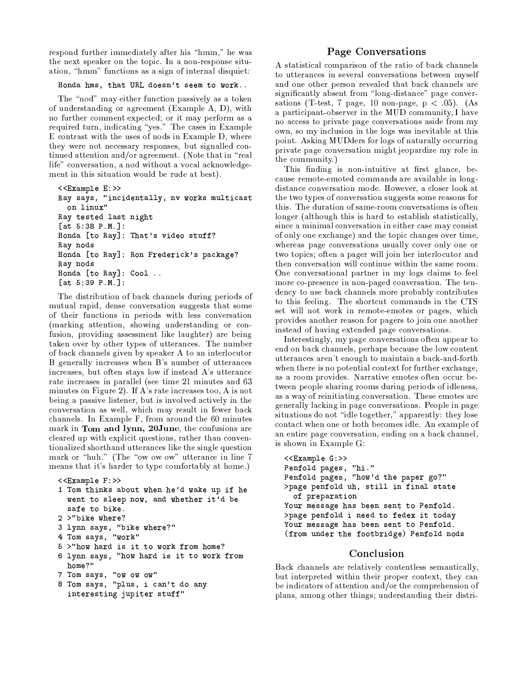respond further immediately after his "hmm," he was the next speaker on the topic. In a non-response situation, "hmm" functions as a sign of internal disquiet:

#### Honda hms, that URL doesn't seem to work..

The "nod" may either function passively as a token of understanding or agreement (Example A, D), with no further comment expected; or it may perform as a required turn, indicating "yes." The cases in Example E contrast with the uses of nods in Example D, where they were not necessary responses, but signalled continued attention and/or agreement. (Note that in "real life" conversation, a nod without a vocal acknowledgement in this situation would be rude at best).

```
<<Example E:>>Ray says, "incidentally, nv works multicast
 on linux"
Ray tested last night
[at 5:38 P.M.]:
Honda [to Ray]: That's video stuff?
Ray nods
Honda [to Ray]: Ron Frederick's package?
Rav nods
Honda [to Ray]: Cool ..
[at 5:39 P.M.]:
```
The distribution of back channels during periods of mutual rapid, dense conversation suggests that some of their functions in periods with less conversation (marking attention, showing understanding or confusion, providing assessment like laughter) are being taken over by other types of utterances. The number of back channels given by speaker A to an interlocutor B generally increases when B's number of utterances increases, but often stays low if instead A's utterance rate increases in parallel (see time 21 minutes and 63 minutes on Figure 2). If A's rate increases too, A is not being a passive listener, but is involved actively in the conversation as well, which may result in fewer back channels. In Example F, from around the 60 minutes mark in Tom and lynn, 20June, the confusions are cleared up with explicit questions, rather than conventionalized shorthand utterances like the single question mark or "huh." (The "ow ow ow" utterance in line 7 means that it's harder to type comfortably at home.)

```
<<Example F:>>
1 Tom thinks about when he'd wake up if he
  went to sleep now, and whether it'd be
  safe to bike.
2 >"bike where?
3 lynn says, "bike where?"
4 Tom says, "work"
5 >"how hard is it to work from home?
```
- 6 lynn says, "how hard is it to work from home?"
- 7 Tom says, "ow ow ow"
- 8 Tom says, "plus, i can't do any interesting jupiter stuff"

# Page Conversations

A statistical comparison of the ratio of back channels to utterances in several conversations between myself and one other person revealed that back channels are significantly absent from "long-distance" page conversations (T-test, 7 page, 10 non-page,  $p < .05$ ). (As a participant-observer in the MUD community, I have no access to private page conversations aside from my own, so my inclusion in the logs was inevitable at this point. Asking MUDders for logs of naturally occurring private page conversation might jeopardize my role in the community.)

This finding is non-intuitive at first glance, because remote-emoted commands are available in longdistance conversation mode. However, a closer look at the two types of conversation suggests some reasons for this. The duration of same-room conversations is often longer (although this is hard to establish statistically, since a minimal conversation in either case may consist of only one exchange) and the topic changes over time, whereas page conversations usually cover only one or two topics; often a pager will join her interlocutor and then conversation will continue within the same room. One conversational partner in my logs claims to feel more co-presence in non-paged conversation. The tendency to use back channels more probably contributes to this feeling. The shortcut commands in the CTS set will not work in remote-emotes or pages, which provides another reason for pagers to join one another instead of having extended page conversations.

Interestingly, my page conversations often appear to end on back channels, perhaps because the low content utterances aren't enough to maintain a back-and-forth when there is no potential context for further exchange. as a room provides. Narrative emotes often occur between people sharing rooms during periods of idleness, as a way of reinitiating conversation. These emotes are generally lacking in page conversations. People in page situations do not "idle together," apparently: they lose contact when one or both becomes idle. An example of an entire page conversation, ending on a back channel, is shown in Example G:

```
<<Example G:>>
Penfold pages, "hi."
Penfold pages, "how'd the paper go?"
>page penfold uh, still in final state
  of preparation
Your message has been sent to Penfold.
>page penfold i need to fedex it today
Your message has been sent to Penfold.
(from under the footbridge) Penfold nods
```
### Conclusion

Back channels are relatively contentless semantically, but interpreted within their proper context, they can be indicators of attention and/or the comprehension of plans, among other things; understanding their distri-